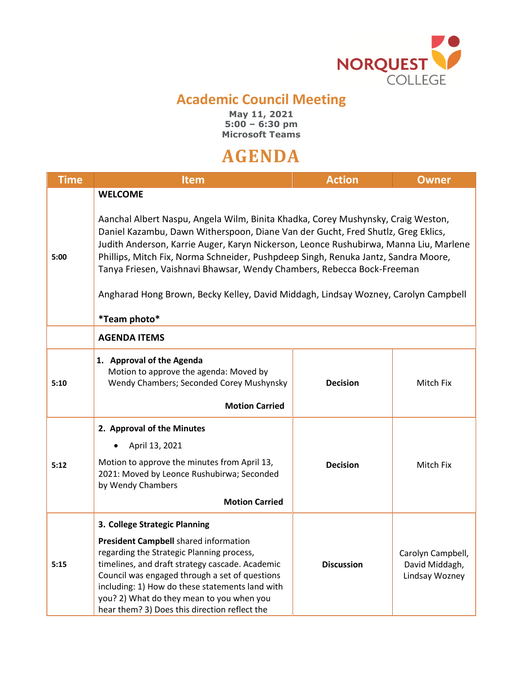

## **Academic Council Meeting**

**May 11, 2021 5:00 – 6:30 pm Microsoft Teams**

## **AGENDA**

| <b>Time</b> | <b>Item</b>                                                                                                                                                                                                                                                                                                                                                                                                                                                                                                                                           | <b>Action</b>     | <b>Owner</b>                                          |
|-------------|-------------------------------------------------------------------------------------------------------------------------------------------------------------------------------------------------------------------------------------------------------------------------------------------------------------------------------------------------------------------------------------------------------------------------------------------------------------------------------------------------------------------------------------------------------|-------------------|-------------------------------------------------------|
| 5:00        | <b>WELCOME</b><br>Aanchal Albert Naspu, Angela Wilm, Binita Khadka, Corey Mushynsky, Craig Weston,<br>Daniel Kazambu, Dawn Witherspoon, Diane Van der Gucht, Fred Shutlz, Greg Eklics,<br>Judith Anderson, Karrie Auger, Karyn Nickerson, Leonce Rushubirwa, Manna Liu, Marlene<br>Phillips, Mitch Fix, Norma Schneider, Pushpdeep Singh, Renuka Jantz, Sandra Moore,<br>Tanya Friesen, Vaishnavi Bhawsar, Wendy Chambers, Rebecca Bock-Freeman<br>Angharad Hong Brown, Becky Kelley, David Middagh, Lindsay Wozney, Carolyn Campbell<br>*Team photo* |                   |                                                       |
|             | <b>AGENDA ITEMS</b>                                                                                                                                                                                                                                                                                                                                                                                                                                                                                                                                   |                   |                                                       |
| 5:10        | 1. Approval of the Agenda<br>Motion to approve the agenda: Moved by<br>Wendy Chambers; Seconded Corey Mushynsky<br><b>Motion Carried</b>                                                                                                                                                                                                                                                                                                                                                                                                              | <b>Decision</b>   | Mitch Fix                                             |
| 5:12        | 2. Approval of the Minutes<br>April 13, 2021<br>Motion to approve the minutes from April 13,<br>2021: Moved by Leonce Rushubirwa; Seconded<br>by Wendy Chambers<br><b>Motion Carried</b>                                                                                                                                                                                                                                                                                                                                                              | <b>Decision</b>   | Mitch Fix                                             |
| 5:15        | 3. College Strategic Planning<br>President Campbell shared information<br>regarding the Strategic Planning process,<br>timelines, and draft strategy cascade. Academic<br>Council was engaged through a set of questions<br>including: 1) How do these statements land with<br>you? 2) What do they mean to you when you<br>hear them? 3) Does this direction reflect the                                                                                                                                                                             | <b>Discussion</b> | Carolyn Campbell,<br>David Middagh,<br>Lindsay Wozney |